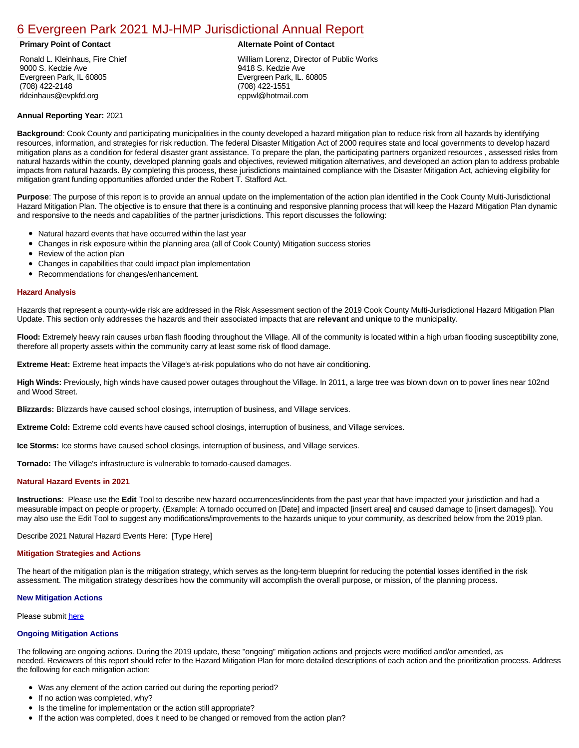# [6 Evergreen Park 2021 MJ-HMP Jurisdictional Annual Report](https://evergreen.isc-cemp.com/Cemp/Details?id=8322829)

Ronald L. Kleinhaus, Fire Chief 9000 S. Kedzie Ave Evergreen Park, IL 60805 (708) 422-2148 rkleinhaus@evpkfd.org

## **Primary Point of Contact Alternate Point of Contact**

William Lorenz, Director of Public Works 9418 S. Kedzie Ave Evergreen Park, IL. 60805 (708) 422-1551 eppwl@hotmail.com

# **Annual Reporting Year:** 2021

**Background**: Cook County and participating municipalities in the county developed a hazard mitigation plan to reduce risk from all hazards by identifying resources, information, and strategies for risk reduction. The federal Disaster Mitigation Act of 2000 requires state and local governments to develop hazard mitigation plans as a condition for federal disaster grant assistance. To prepare the plan, the participating partners organized resources , assessed risks from natural hazards within the county, developed planning goals and objectives, reviewed mitigation alternatives, and developed an action plan to address probable impacts from natural hazards. By completing this process, these jurisdictions maintained compliance with the Disaster Mitigation Act, achieving eligibility for mitigation grant funding opportunities afforded under the Robert T. Stafford Act.

**Purpose**: The purpose of this report is to provide an annual update on the implementation of the action plan identified in the Cook County Multi-Jurisdictional Hazard Mitigation Plan. The objective is to ensure that there is a continuing and responsive planning process that will keep the Hazard Mitigation Plan dynamic and responsive to the needs and capabilities of the partner jurisdictions. This report discusses the following:

- Natural hazard events that have occurred within the last year
- $\bullet$ Changes in risk exposure within the planning area (all of Cook County) Mitigation success stories
- Review of the action plan  $\bullet$
- $\bullet$ Changes in capabilities that could impact plan implementation
- Recommendations for changes/enhancement.

### **Hazard Analysis**

Hazards that represent a county-wide risk are addressed in the Risk Assessment section of the 2019 Cook County Multi-Jurisdictional Hazard Mitigation Plan Update. This section only addresses the hazards and their associated impacts that are **relevant** and **unique** to the municipality.

Flood: Extremely heavy rain causes urban flash flooding throughout the Village. All of the community is located within a high urban flooding susceptibility zone, therefore all property assets within the community carry at least some risk of flood damage.

**Extreme Heat:** Extreme heat impacts the Village's at-risk populations who do not have air conditioning.

**High Winds:** Previously, high winds have caused power outages throughout the Village. In 2011, a large tree was blown down on to power lines near 102nd and Wood Street.

**Blizzards:** Blizzards have caused school closings, interruption of business, and Village services.

**Extreme Cold:** Extreme cold events have caused school closings, interruption of business, and Village services.

**Ice Storms:** Ice storms have caused school closings, interruption of business, and Village services.

**Tornado:** The Village's infrastructure is vulnerable to tornado-caused damages.

# **Natural Hazard Events in 2021**

**Instructions**: Please use the **Edit** Tool to describe new hazard occurrences/incidents from the past year that have impacted your jurisdiction and had a measurable impact on people or property. (Example: A tornado occurred on [Date] and impacted [insert area] and caused damage to [insert damages]). You may also use the Edit Tool to suggest any modifications/improvements to the hazards unique to your community, as described below from the 2019 plan.

Describe 2021 Natural Hazard Events Here: [Type Here]

#### **Mitigation Strategies and Actions**

The heart of the mitigation plan is the mitigation strategy, which serves as the long-term blueprint for reducing the potential losses identified in the risk assessment. The mitigation strategy describes how the community will accomplish the overall purpose, or mission, of the planning process.

#### **New Mitigation Actions**

Please submit [here](https://integratedsolutions.wufoo.com/forms/mg21jvf0jn639o/)

#### **Ongoing Mitigation Actions**

The following are ongoing actions. During the 2019 update, these "ongoing" mitigation actions and projects were modified and/or amended, as needed. Reviewers of this report should refer to the Hazard Mitigation Plan for more detailed descriptions of each action and the prioritization process. Address the following for each mitigation action:

- Was any element of the action carried out during the reporting period?
- If no action was completed, why?
- Is the timeline for implementation or the action still appropriate?
- If the action was completed, does it need to be changed or removed from the action plan?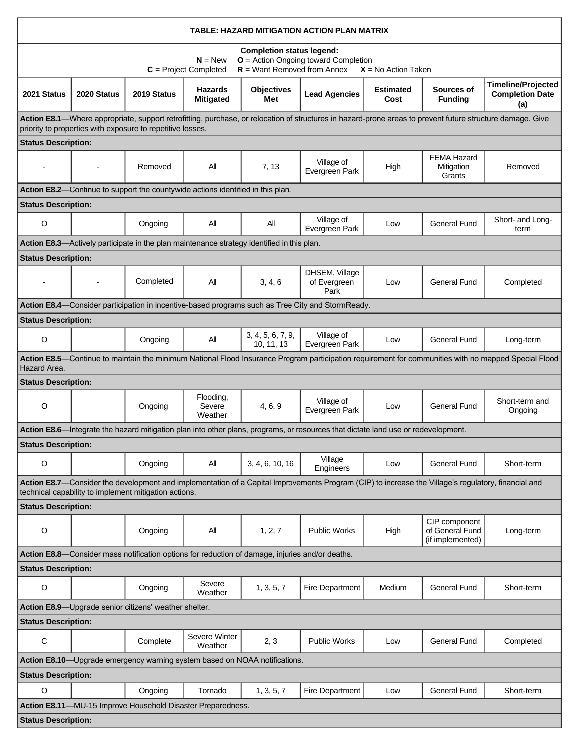| <b>TABLE: HAZARD MITIGATION ACTION PLAN MATRIX</b>                                                                                                                                                                      |             |                                                       |                                    |                                                                                            |                                                                                                                                   |                          |                                                      |                                                            |  |  |  |
|-------------------------------------------------------------------------------------------------------------------------------------------------------------------------------------------------------------------------|-------------|-------------------------------------------------------|------------------------------------|--------------------------------------------------------------------------------------------|-----------------------------------------------------------------------------------------------------------------------------------|--------------------------|------------------------------------------------------|------------------------------------------------------------|--|--|--|
| <b>Completion status legend:</b><br>$N = New$<br>$O =$ Action Ongoing toward Completion<br>$R =$ Want Removed from Annex<br>$C = Project Completed$<br>$X = No$ Action Taken                                            |             |                                                       |                                    |                                                                                            |                                                                                                                                   |                          |                                                      |                                                            |  |  |  |
| 2021 Status                                                                                                                                                                                                             | 2020 Status | 2019 Status                                           | <b>Hazards</b><br><b>Mitigated</b> | <b>Objectives</b><br>Met                                                                   | <b>Lead Agencies</b>                                                                                                              | <b>Estimated</b><br>Cost | Sources of<br><b>Funding</b>                         | <b>Timeline/Projected</b><br><b>Completion Date</b><br>(a) |  |  |  |
| Action E8.1—Where appropriate, support retrofitting, purchase, or relocation of structures in hazard-prone areas to prevent future structure damage. Give<br>priority to properties with exposure to repetitive losses. |             |                                                       |                                    |                                                                                            |                                                                                                                                   |                          |                                                      |                                                            |  |  |  |
| <b>Status Description:</b>                                                                                                                                                                                              |             |                                                       |                                    |                                                                                            |                                                                                                                                   |                          |                                                      |                                                            |  |  |  |
|                                                                                                                                                                                                                         |             | Removed                                               | All                                | 7, 13                                                                                      | Village of<br>Evergreen Park                                                                                                      | High                     | <b>FEMA Hazard</b><br>Mitigation<br>Grants           | Removed                                                    |  |  |  |
| Action E8.2—Continue to support the countywide actions identified in this plan.                                                                                                                                         |             |                                                       |                                    |                                                                                            |                                                                                                                                   |                          |                                                      |                                                            |  |  |  |
| <b>Status Description:</b>                                                                                                                                                                                              |             |                                                       |                                    |                                                                                            |                                                                                                                                   |                          |                                                      |                                                            |  |  |  |
| O                                                                                                                                                                                                                       |             | Ongoing                                               | All                                | Αll                                                                                        | Village of<br>Evergreen Park                                                                                                      | Low                      | <b>General Fund</b>                                  | Short- and Long-<br>term                                   |  |  |  |
|                                                                                                                                                                                                                         |             |                                                       |                                    | Action E8.3—Actively participate in the plan maintenance strategy identified in this plan. |                                                                                                                                   |                          |                                                      |                                                            |  |  |  |
| <b>Status Description:</b>                                                                                                                                                                                              |             |                                                       |                                    |                                                                                            |                                                                                                                                   |                          |                                                      |                                                            |  |  |  |
|                                                                                                                                                                                                                         |             | Completed                                             | All                                | 3, 4, 6                                                                                    | DHSEM, Village<br>of Evergreen<br>Park                                                                                            | Low                      | <b>General Fund</b>                                  | Completed                                                  |  |  |  |
|                                                                                                                                                                                                                         |             |                                                       |                                    |                                                                                            | Action E8.4—Consider participation in incentive-based programs such as Tree City and StormReady.                                  |                          |                                                      |                                                            |  |  |  |
| <b>Status Description:</b>                                                                                                                                                                                              |             |                                                       |                                    |                                                                                            |                                                                                                                                   |                          |                                                      |                                                            |  |  |  |
| O                                                                                                                                                                                                                       |             | Ongoing                                               | All                                | 3, 4, 5, 6, 7, 9,<br>10, 11, 13                                                            | Village of<br>Evergreen Park                                                                                                      | Low                      | <b>General Fund</b>                                  | Long-term                                                  |  |  |  |
| Action E8.5—Continue to maintain the minimum National Flood Insurance Program participation requirement for communities with no mapped Special Flood<br>Hazard Area.                                                    |             |                                                       |                                    |                                                                                            |                                                                                                                                   |                          |                                                      |                                                            |  |  |  |
| <b>Status Description:</b>                                                                                                                                                                                              |             |                                                       |                                    |                                                                                            |                                                                                                                                   |                          |                                                      |                                                            |  |  |  |
| O                                                                                                                                                                                                                       |             | Ongoing                                               | Flooding,<br>Severe<br>Weather     | 4, 6, 9                                                                                    | Village of<br>Evergreen Park                                                                                                      | Low                      | <b>General Fund</b>                                  | Short-term and<br>Ongoing                                  |  |  |  |
|                                                                                                                                                                                                                         |             |                                                       |                                    |                                                                                            | Action E8.6—Integrate the hazard mitigation plan into other plans, programs, or resources that dictate land use or redevelopment. |                          |                                                      |                                                            |  |  |  |
| <b>Status Description:</b>                                                                                                                                                                                              |             |                                                       |                                    |                                                                                            |                                                                                                                                   |                          |                                                      |                                                            |  |  |  |
| O                                                                                                                                                                                                                       |             | Ongoing                                               | All                                | 3, 4, 6, 10, 16                                                                            | Village<br>Engineers                                                                                                              | Low                      | <b>General Fund</b>                                  | Short-term                                                 |  |  |  |
| Action E8.7—Consider the development and implementation of a Capital Improvements Program (CIP) to increase the Village's regulatory, financial and<br>technical capability to implement mitigation actions.            |             |                                                       |                                    |                                                                                            |                                                                                                                                   |                          |                                                      |                                                            |  |  |  |
| <b>Status Description:</b>                                                                                                                                                                                              |             |                                                       |                                    |                                                                                            |                                                                                                                                   |                          |                                                      |                                                            |  |  |  |
| O                                                                                                                                                                                                                       |             | Ongoing                                               | All                                | 1, 2, 7                                                                                    | <b>Public Works</b>                                                                                                               | High                     | CIP component<br>of General Fund<br>(if implemented) | Long-term                                                  |  |  |  |
| Action E8.8—Consider mass notification options for reduction of damage, injuries and/or deaths.                                                                                                                         |             |                                                       |                                    |                                                                                            |                                                                                                                                   |                          |                                                      |                                                            |  |  |  |
| <b>Status Description:</b>                                                                                                                                                                                              |             |                                                       |                                    |                                                                                            |                                                                                                                                   |                          |                                                      |                                                            |  |  |  |
| O                                                                                                                                                                                                                       |             | Ongoing                                               | Severe<br>Weather                  | 1, 3, 5, 7                                                                                 | Fire Department                                                                                                                   | Medium                   | <b>General Fund</b>                                  | Short-term                                                 |  |  |  |
|                                                                                                                                                                                                                         |             | Action E8.9-Upgrade senior citizens' weather shelter. |                                    |                                                                                            |                                                                                                                                   |                          |                                                      |                                                            |  |  |  |
| <b>Status Description:</b>                                                                                                                                                                                              |             |                                                       |                                    |                                                                                            |                                                                                                                                   |                          |                                                      |                                                            |  |  |  |
| С                                                                                                                                                                                                                       |             | Complete                                              | Severe Winter<br>Weather           | 2, 3                                                                                       | <b>Public Works</b>                                                                                                               | Low                      | <b>General Fund</b>                                  | Completed                                                  |  |  |  |
| Action E8.10-Upgrade emergency warning system based on NOAA notifications.                                                                                                                                              |             |                                                       |                                    |                                                                                            |                                                                                                                                   |                          |                                                      |                                                            |  |  |  |
| <b>Status Description:</b>                                                                                                                                                                                              |             |                                                       |                                    |                                                                                            |                                                                                                                                   |                          |                                                      |                                                            |  |  |  |
| O                                                                                                                                                                                                                       |             | Ongoing                                               | Tornado                            | 1, 3, 5, 7                                                                                 | Fire Department                                                                                                                   | Low                      | <b>General Fund</b>                                  | Short-term                                                 |  |  |  |
| Action E8.11-MU-15 Improve Household Disaster Preparedness.                                                                                                                                                             |             |                                                       |                                    |                                                                                            |                                                                                                                                   |                          |                                                      |                                                            |  |  |  |
| <b>Status Description:</b>                                                                                                                                                                                              |             |                                                       |                                    |                                                                                            |                                                                                                                                   |                          |                                                      |                                                            |  |  |  |